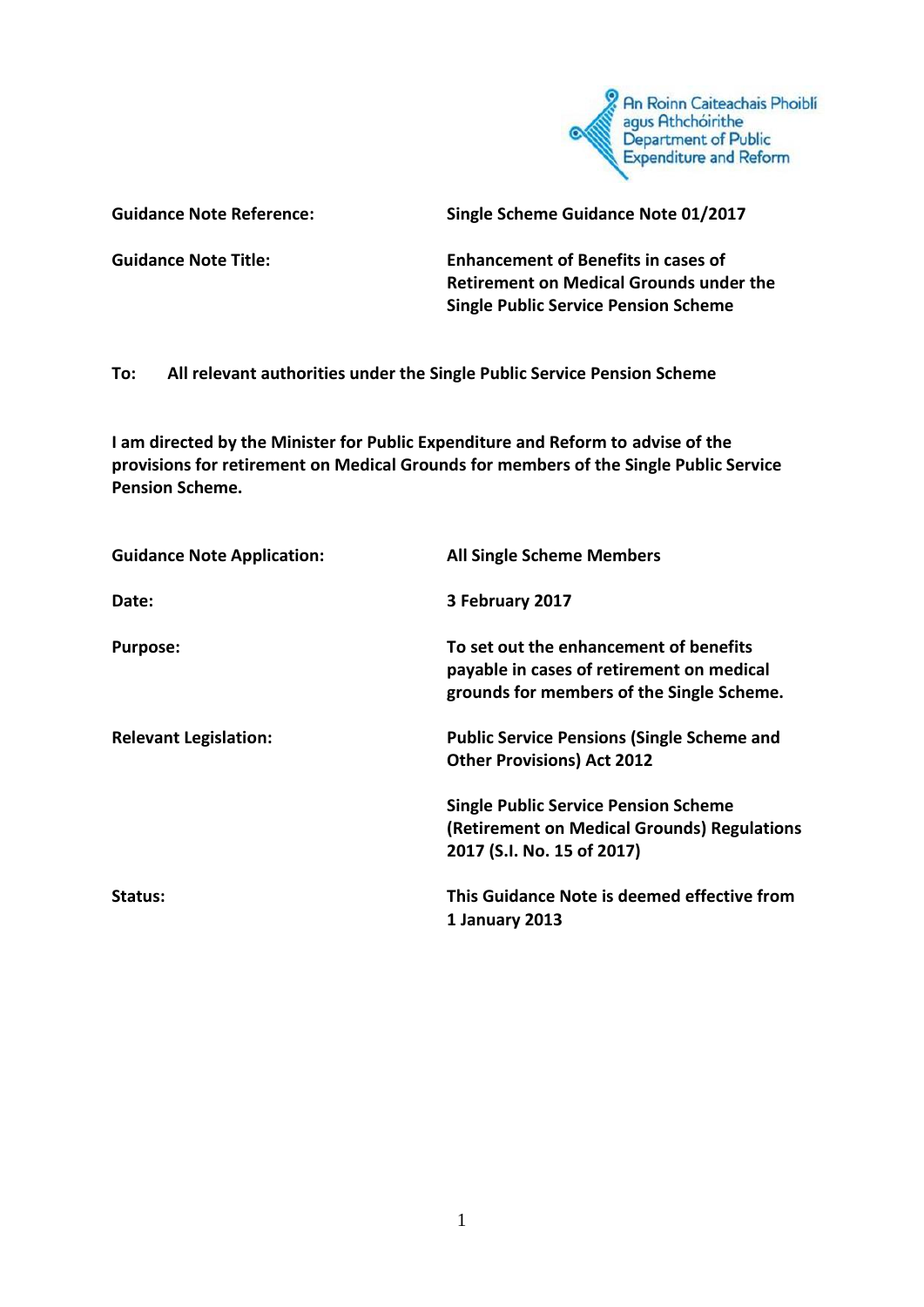

**Guidance Note Reference: Single Scheme Guidance Note 01/2017**

**Guidance Note Title: Enhancement of Benefits in cases of Retirement on Medical Grounds under the Single Public Service Pension Scheme**

**To: All relevant authorities under the Single Public Service Pension Scheme**

**I am directed by the Minister for Public Expenditure and Reform to advise of the provisions for retirement on Medical Grounds for members of the Single Public Service Pension Scheme.**

| <b>Guidance Note Application:</b> | <b>All Single Scheme Members</b>                                                                                                 |
|-----------------------------------|----------------------------------------------------------------------------------------------------------------------------------|
| Date:                             | 3 February 2017                                                                                                                  |
| <b>Purpose:</b>                   | To set out the enhancement of benefits<br>payable in cases of retirement on medical<br>grounds for members of the Single Scheme. |
| <b>Relevant Legislation:</b>      | <b>Public Service Pensions (Single Scheme and</b><br><b>Other Provisions) Act 2012</b>                                           |
|                                   | <b>Single Public Service Pension Scheme</b><br>(Retirement on Medical Grounds) Regulations<br>2017 (S.I. No. 15 of 2017)         |
| Status:                           | This Guidance Note is deemed effective from<br>1 January 2013                                                                    |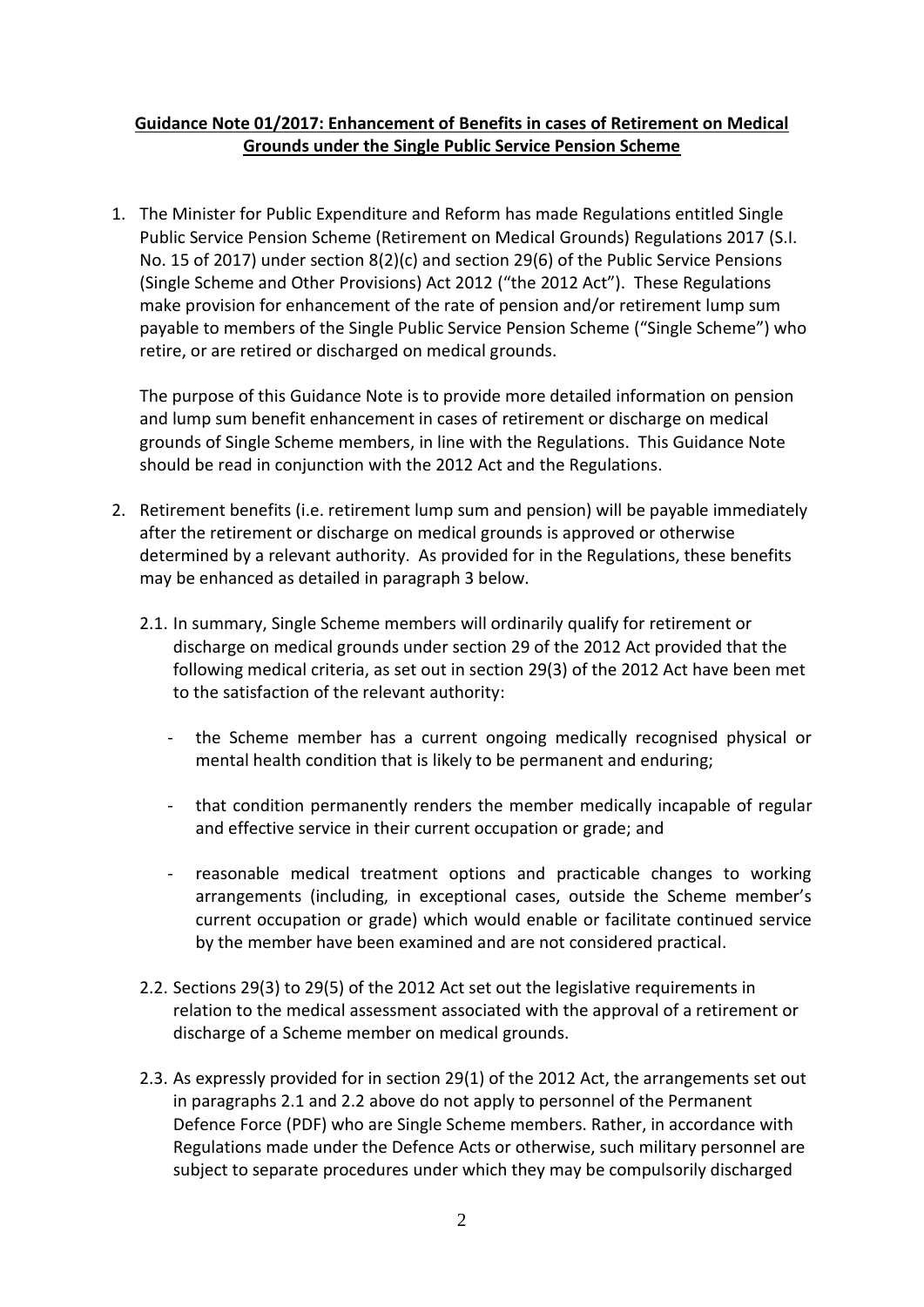## **Guidance Note 01/2017: Enhancement of Benefits in cases of Retirement on Medical Grounds under the Single Public Service Pension Scheme**

1. The Minister for Public Expenditure and Reform has made Regulations entitled Single Public Service Pension Scheme (Retirement on Medical Grounds) Regulations 2017 (S.I. No. 15 of 2017) under section 8(2)(c) and section 29(6) of the Public Service Pensions (Single Scheme and Other Provisions) Act 2012 ("the 2012 Act"). These Regulations make provision for enhancement of the rate of pension and/or retirement lump sum payable to members of the Single Public Service Pension Scheme ("Single Scheme") who retire, or are retired or discharged on medical grounds.

The purpose of this Guidance Note is to provide more detailed information on pension and lump sum benefit enhancement in cases of retirement or discharge on medical grounds of Single Scheme members, in line with the Regulations. This Guidance Note should be read in conjunction with the 2012 Act and the Regulations.

- 2. Retirement benefits (i.e. retirement lump sum and pension) will be payable immediately after the retirement or discharge on medical grounds is approved or otherwise determined by a relevant authority. As provided for in the Regulations, these benefits may be enhanced as detailed in paragraph 3 below.
	- 2.1. In summary, Single Scheme members will ordinarily qualify for retirement or discharge on medical grounds under section 29 of the 2012 Act provided that the following medical criteria, as set out in section 29(3) of the 2012 Act have been met to the satisfaction of the relevant authority:
		- the Scheme member has a current ongoing medically recognised physical or mental health condition that is likely to be permanent and enduring;
		- that condition permanently renders the member medically incapable of regular and effective service in their current occupation or grade; and
		- reasonable medical treatment options and practicable changes to working arrangements (including, in exceptional cases, outside the Scheme member's current occupation or grade) which would enable or facilitate continued service by the member have been examined and are not considered practical.
	- 2.2. Sections 29(3) to 29(5) of the 2012 Act set out the legislative requirements in relation to the medical assessment associated with the approval of a retirement or discharge of a Scheme member on medical grounds.
	- 2.3. As expressly provided for in section 29(1) of the 2012 Act, the arrangements set out in paragraphs 2.1 and 2.2 above do not apply to personnel of the Permanent Defence Force (PDF) who are Single Scheme members. Rather, in accordance with Regulations made under the Defence Acts or otherwise, such military personnel are subject to separate procedures under which they may be compulsorily discharged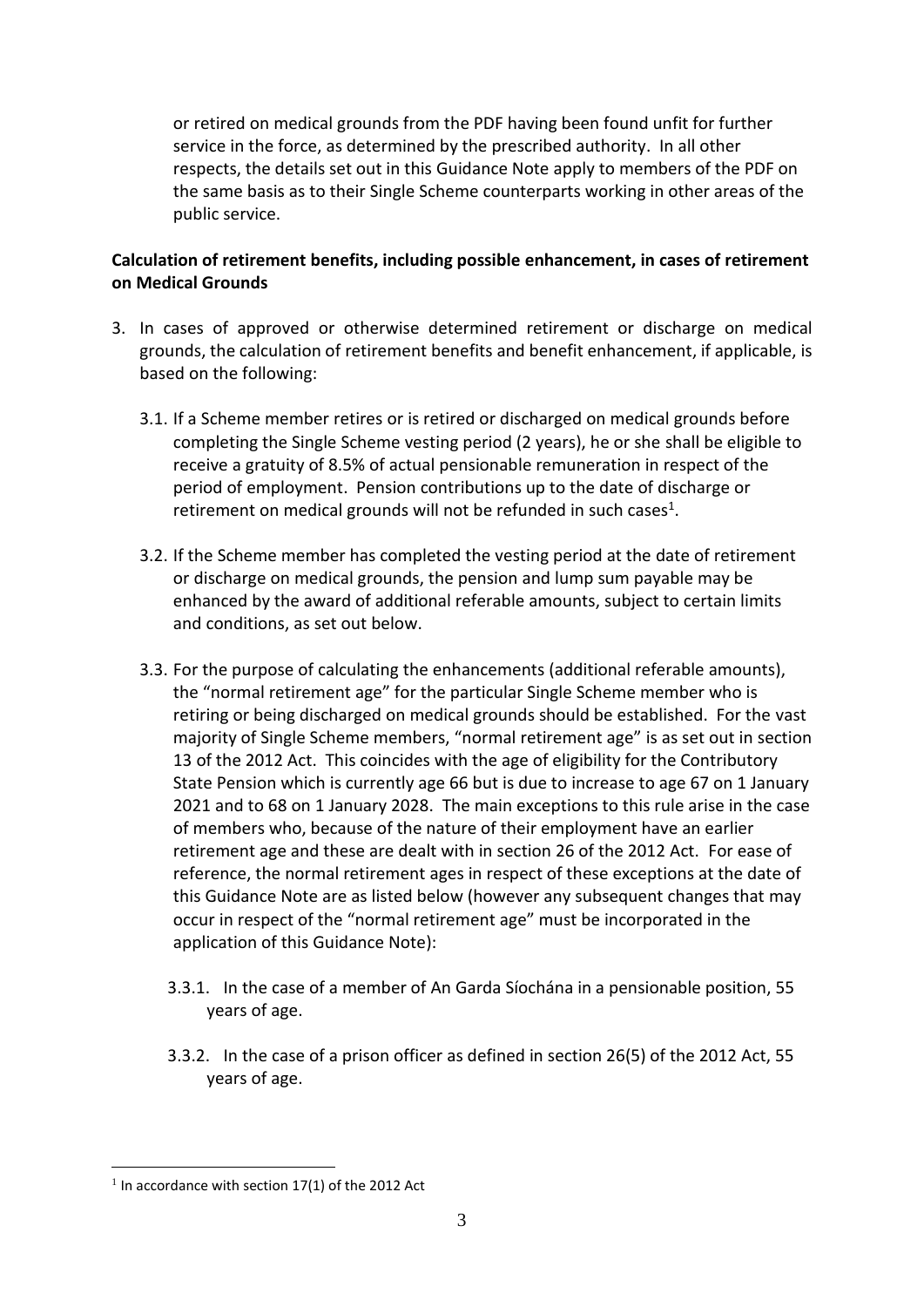or retired on medical grounds from the PDF having been found unfit for further service in the force, as determined by the prescribed authority. In all other respects, the details set out in this Guidance Note apply to members of the PDF on the same basis as to their Single Scheme counterparts working in other areas of the public service.

### **Calculation of retirement benefits, including possible enhancement, in cases of retirement on Medical Grounds**

- 3. In cases of approved or otherwise determined retirement or discharge on medical grounds, the calculation of retirement benefits and benefit enhancement, if applicable, is based on the following:
	- 3.1. If a Scheme member retires or is retired or discharged on medical grounds before completing the Single Scheme vesting period (2 years), he or she shall be eligible to receive a gratuity of 8.5% of actual pensionable remuneration in respect of the period of employment. Pension contributions up to the date of discharge or retirement on medical grounds will not be refunded in such cases<sup>1</sup>.
	- 3.2. If the Scheme member has completed the vesting period at the date of retirement or discharge on medical grounds, the pension and lump sum payable may be enhanced by the award of additional referable amounts, subject to certain limits and conditions, as set out below.
	- 3.3. For the purpose of calculating the enhancements (additional referable amounts), the "normal retirement age" for the particular Single Scheme member who is retiring or being discharged on medical grounds should be established. For the vast majority of Single Scheme members, "normal retirement age" is as set out in section 13 of the 2012 Act. This coincides with the age of eligibility for the Contributory State Pension which is currently age 66 but is due to increase to age 67 on 1 January 2021 and to 68 on 1 January 2028. The main exceptions to this rule arise in the case of members who, because of the nature of their employment have an earlier retirement age and these are dealt with in section 26 of the 2012 Act. For ease of reference, the normal retirement ages in respect of these exceptions at the date of this Guidance Note are as listed below (however any subsequent changes that may occur in respect of the "normal retirement age" must be incorporated in the application of this Guidance Note):
		- 3.3.1. In the case of a member of An Garda Síochána in a pensionable position, 55 years of age.
		- 3.3.2. In the case of a prison officer as defined in section 26(5) of the 2012 Act, 55 years of age.

1

 $1$  In accordance with section 17(1) of the 2012 Act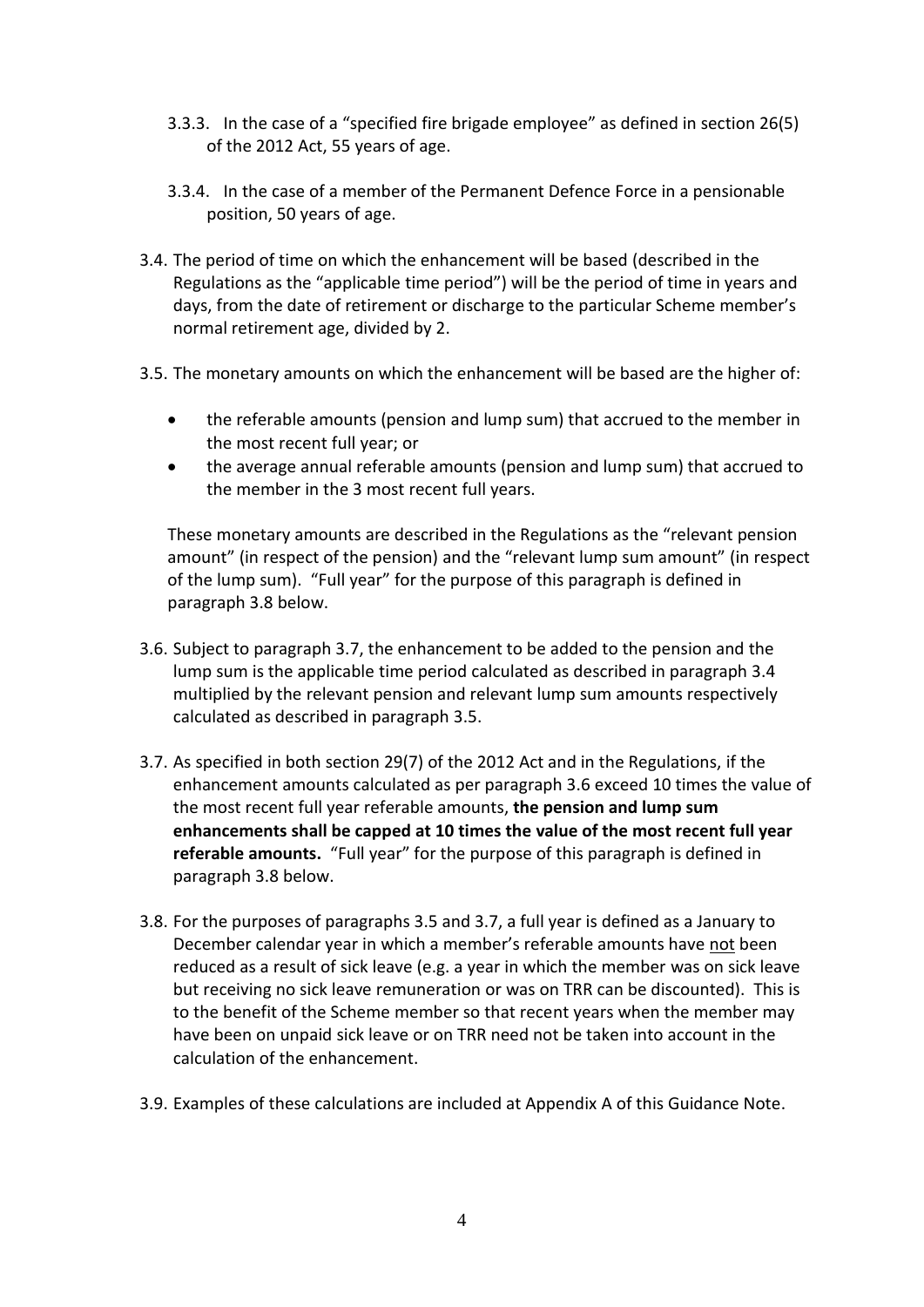- 3.3.3. In the case of a "specified fire brigade employee" as defined in section 26(5) of the 2012 Act, 55 years of age.
- 3.3.4. In the case of a member of the Permanent Defence Force in a pensionable position, 50 years of age.
- 3.4. The period of time on which the enhancement will be based (described in the Regulations as the "applicable time period") will be the period of time in years and days, from the date of retirement or discharge to the particular Scheme member's normal retirement age, divided by 2.
- 3.5. The monetary amounts on which the enhancement will be based are the higher of:
	- the referable amounts (pension and lump sum) that accrued to the member in the most recent full year; or
	- the average annual referable amounts (pension and lump sum) that accrued to the member in the 3 most recent full years.

These monetary amounts are described in the Regulations as the "relevant pension amount" (in respect of the pension) and the "relevant lump sum amount" (in respect of the lump sum). "Full year" for the purpose of this paragraph is defined in paragraph 3.8 below.

- 3.6. Subject to paragraph 3.7, the enhancement to be added to the pension and the lump sum is the applicable time period calculated as described in paragraph 3.4 multiplied by the relevant pension and relevant lump sum amounts respectively calculated as described in paragraph 3.5.
- 3.7. As specified in both section 29(7) of the 2012 Act and in the Regulations, if the enhancement amounts calculated as per paragraph 3.6 exceed 10 times the value of the most recent full year referable amounts, **the pension and lump sum enhancements shall be capped at 10 times the value of the most recent full year referable amounts.** "Full year" for the purpose of this paragraph is defined in paragraph 3.8 below.
- 3.8. For the purposes of paragraphs 3.5 and 3.7, a full year is defined as a January to December calendar year in which a member's referable amounts have not been reduced as a result of sick leave (e.g. a year in which the member was on sick leave but receiving no sick leave remuneration or was on TRR can be discounted). This is to the benefit of the Scheme member so that recent years when the member may have been on unpaid sick leave or on TRR need not be taken into account in the calculation of the enhancement.
- 3.9. Examples of these calculations are included at Appendix A of this Guidance Note.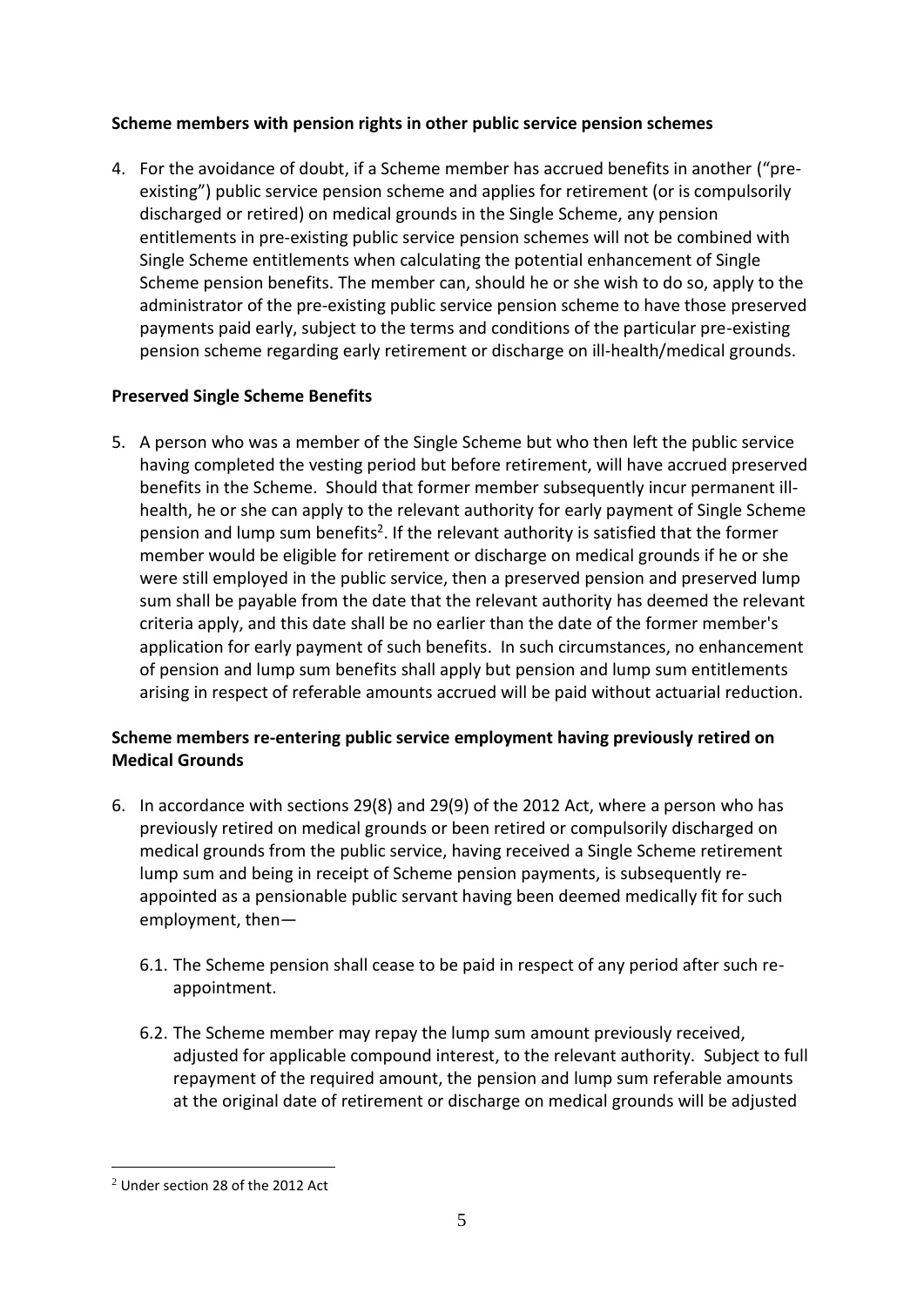### **Scheme members with pension rights in other public service pension schemes**

4. For the avoidance of doubt, if a Scheme member has accrued benefits in another ("preexisting") public service pension scheme and applies for retirement (or is compulsorily discharged or retired) on medical grounds in the Single Scheme, any pension entitlements in pre-existing public service pension schemes will not be combined with Single Scheme entitlements when calculating the potential enhancement of Single Scheme pension benefits. The member can, should he or she wish to do so, apply to the administrator of the pre-existing public service pension scheme to have those preserved payments paid early, subject to the terms and conditions of the particular pre-existing pension scheme regarding early retirement or discharge on ill-health/medical grounds.

## **Preserved Single Scheme Benefits**

5. A person who was a member of the Single Scheme but who then left the public service having completed the vesting period but before retirement, will have accrued preserved benefits in the Scheme. Should that former member subsequently incur permanent illhealth, he or she can apply to the relevant authority for early payment of Single Scheme pension and lump sum benefits<sup>2</sup>. If the relevant authority is satisfied that the former member would be eligible for retirement or discharge on medical grounds if he or she were still employed in the public service, then a preserved pension and preserved lump sum shall be payable from the date that the relevant authority has deemed the relevant criteria apply, and this date shall be no earlier than the date of the former member's application for early payment of such benefits. In such circumstances, no enhancement of pension and lump sum benefits shall apply but pension and lump sum entitlements arising in respect of referable amounts accrued will be paid without actuarial reduction.

## **Scheme members re-entering public service employment having previously retired on Medical Grounds**

- 6. In accordance with sections 29(8) and 29(9) of the 2012 Act, where a person who has previously retired on medical grounds or been retired or compulsorily discharged on medical grounds from the public service, having received a Single Scheme retirement lump sum and being in receipt of Scheme pension payments, is subsequently reappointed as a pensionable public servant having been deemed medically fit for such employment, then—
	- 6.1. The Scheme pension shall cease to be paid in respect of any period after such reappointment.
	- 6.2. The Scheme member may repay the lump sum amount previously received, adjusted for applicable compound interest, to the relevant authority. Subject to full repayment of the required amount, the pension and lump sum referable amounts at the original date of retirement or discharge on medical grounds will be adjusted

1

<sup>2</sup> Under section 28 of the 2012 Act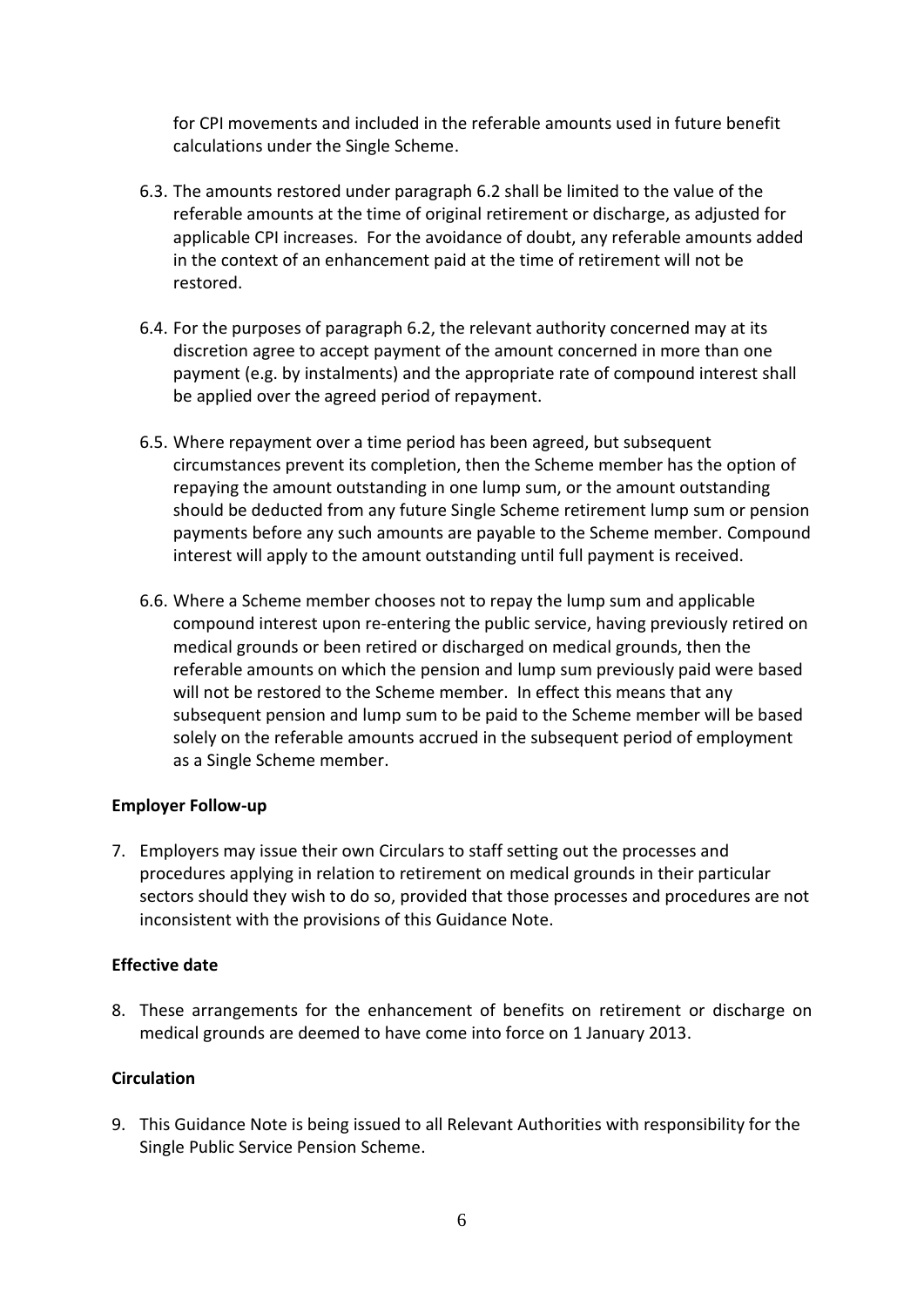for CPI movements and included in the referable amounts used in future benefit calculations under the Single Scheme.

- 6.3. The amounts restored under paragraph 6.2 shall be limited to the value of the referable amounts at the time of original retirement or discharge, as adjusted for applicable CPI increases. For the avoidance of doubt, any referable amounts added in the context of an enhancement paid at the time of retirement will not be restored.
- 6.4. For the purposes of paragraph 6.2, the relevant authority concerned may at its discretion agree to accept payment of the amount concerned in more than one payment (e.g. by instalments) and the appropriate rate of compound interest shall be applied over the agreed period of repayment.
- 6.5. Where repayment over a time period has been agreed, but subsequent circumstances prevent its completion, then the Scheme member has the option of repaying the amount outstanding in one lump sum, or the amount outstanding should be deducted from any future Single Scheme retirement lump sum or pension payments before any such amounts are payable to the Scheme member. Compound interest will apply to the amount outstanding until full payment is received.
- 6.6. Where a Scheme member chooses not to repay the lump sum and applicable compound interest upon re-entering the public service, having previously retired on medical grounds or been retired or discharged on medical grounds, then the referable amounts on which the pension and lump sum previously paid were based will not be restored to the Scheme member. In effect this means that any subsequent pension and lump sum to be paid to the Scheme member will be based solely on the referable amounts accrued in the subsequent period of employment as a Single Scheme member.

#### **Employer Follow-up**

7. Employers may issue their own Circulars to staff setting out the processes and procedures applying in relation to retirement on medical grounds in their particular sectors should they wish to do so, provided that those processes and procedures are not inconsistent with the provisions of this Guidance Note.

#### **Effective date**

8. These arrangements for the enhancement of benefits on retirement or discharge on medical grounds are deemed to have come into force on 1 January 2013.

### **Circulation**

9. This Guidance Note is being issued to all Relevant Authorities with responsibility for the Single Public Service Pension Scheme.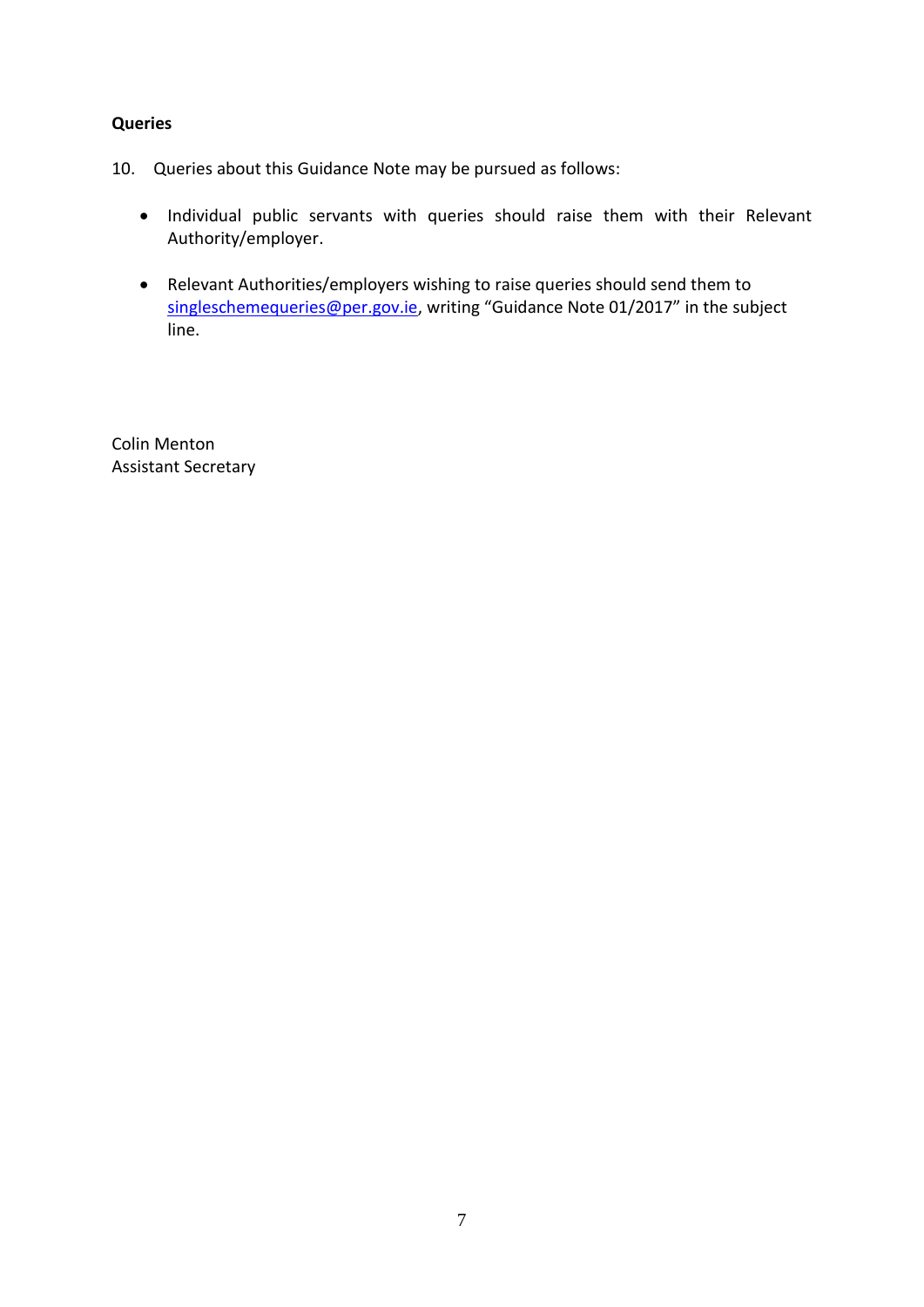#### **Queries**

- 10. Queries about this Guidance Note may be pursued as follows:
	- Individual public servants with queries should raise them with their Relevant Authority/employer.
	- Relevant Authorities/employers wishing to raise queries should send them to [singleschemequeries@per.gov.ie](mailto:singleschemequeries@per.gov.ie), writing "Guidance Note 01/2017" in the subject line.

Colin Menton Assistant Secretary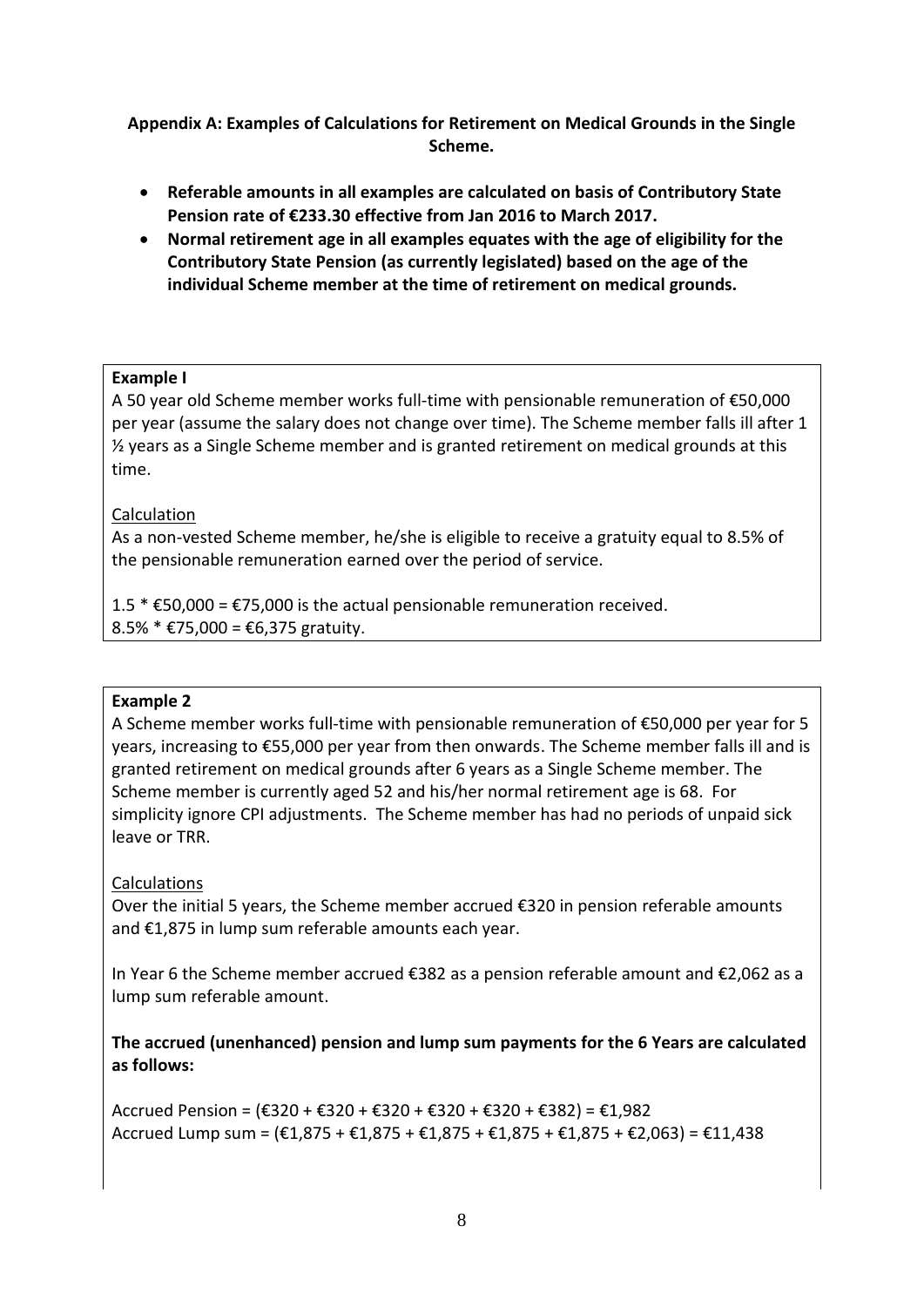## **Appendix A: Examples of Calculations for Retirement on Medical Grounds in the Single Scheme.**

- **Referable amounts in all examples are calculated on basis of Contributory State Pension rate of €233.30 effective from Jan 2016 to March 2017.**
- **Normal retirement age in all examples equates with the age of eligibility for the Contributory State Pension (as currently legislated) based on the age of the individual Scheme member at the time of retirement on medical grounds.**

## **Example I**

A 50 year old Scheme member works full-time with pensionable remuneration of €50,000 per year (assume the salary does not change over time). The Scheme member falls ill after 1  $\frac{1}{2}$  years as a Single Scheme member and is granted retirement on medical grounds at this time.

# Calculation

As a non-vested Scheme member, he/she is eligible to receive a gratuity equal to 8.5% of the pensionable remuneration earned over the period of service.

1.5  $*$  €50,000 = €75,000 is the actual pensionable remuneration received. 8.5%  $*$  €75,000 = €6,375 gratuity.

### **Example 2**

A Scheme member works full-time with pensionable remuneration of €50,000 per year for 5 years, increasing to €55,000 per year from then onwards. The Scheme member falls ill and is granted retirement on medical grounds after 6 years as a Single Scheme member. The Scheme member is currently aged 52 and his/her normal retirement age is 68. For simplicity ignore CPI adjustments. The Scheme member has had no periods of unpaid sick leave or TRR.

# Calculations

Over the initial 5 years, the Scheme member accrued  $\epsilon$ 320 in pension referable amounts and €1,875 in lump sum referable amounts each year.

In Year 6 the Scheme member accrued €382 as a pension referable amount and €2,062 as a lump sum referable amount.

**The accrued (unenhanced) pension and lump sum payments for the 6 Years are calculated as follows:**

Accrued Pension = (€320 + €320 + €320 + €320 + €320 + €382) = €1,982 Accrued Lump sum =  $(E1,875 + E1,875 + E1,875 + E1,875 + E1,875 + E2,063) = E11,438$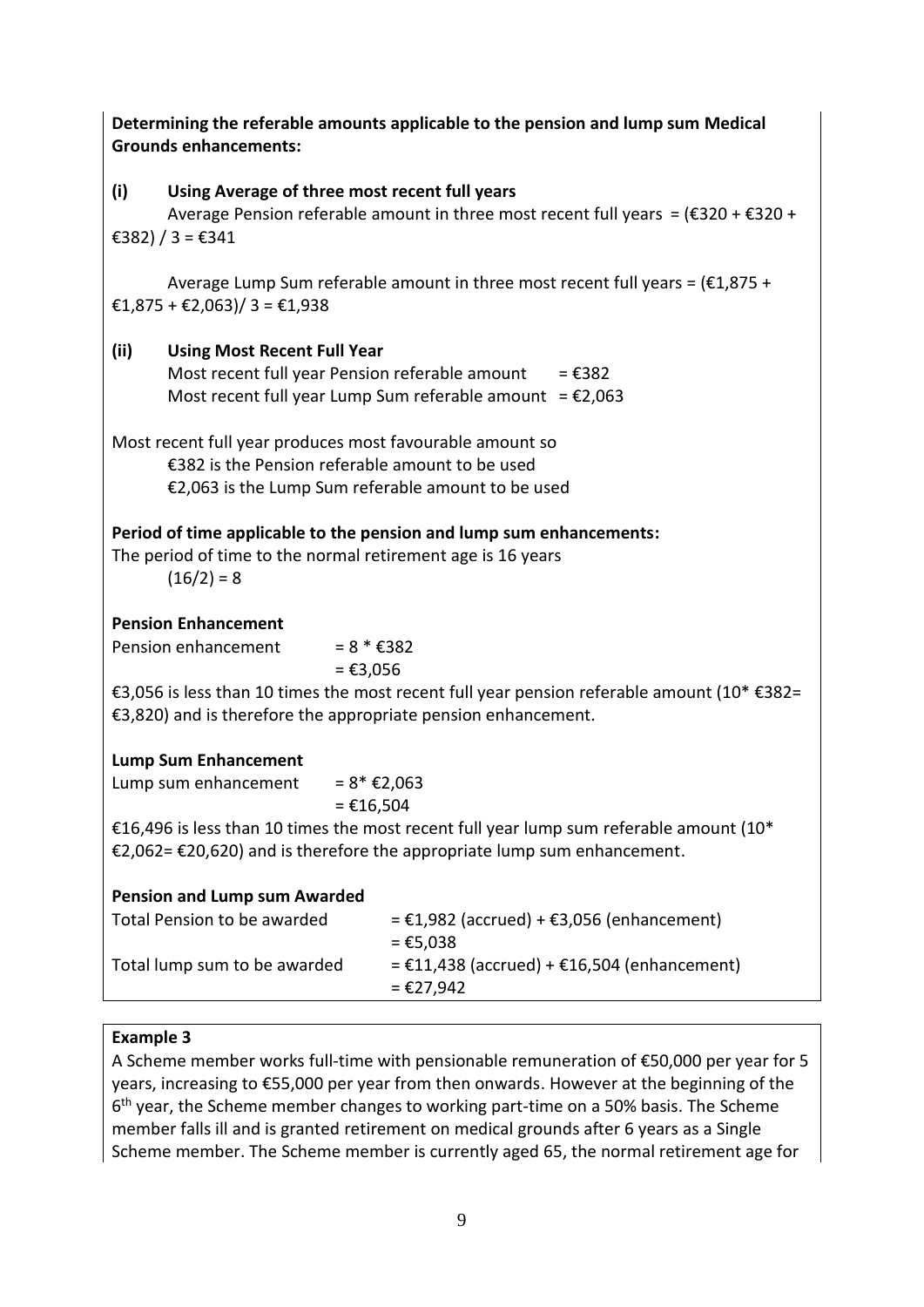| Determining the referable amounts applicable to the pension and lump sum Medical<br><b>Grounds enhancements:</b>                                                  |                                                                                                                                                                |                                                                                                                                                                   |  |  |  |
|-------------------------------------------------------------------------------------------------------------------------------------------------------------------|----------------------------------------------------------------------------------------------------------------------------------------------------------------|-------------------------------------------------------------------------------------------------------------------------------------------------------------------|--|--|--|
| (i)                                                                                                                                                               | Using Average of three most recent full years<br>Average Pension referable amount in three most recent full years = $(E320 + E320 +$                           |                                                                                                                                                                   |  |  |  |
|                                                                                                                                                                   | €382) / 3 = €341                                                                                                                                               |                                                                                                                                                                   |  |  |  |
|                                                                                                                                                                   | Average Lump Sum referable amount in three most recent full years = $(E1,875 + E1)$<br>€1,875 + €2,063)/ 3 = €1,938                                            |                                                                                                                                                                   |  |  |  |
| (ii)                                                                                                                                                              | <b>Using Most Recent Full Year</b><br>Most recent full year Pension referable amount<br>$=$ €382<br>Most recent full year Lump Sum referable amount = $£2,063$ |                                                                                                                                                                   |  |  |  |
|                                                                                                                                                                   |                                                                                                                                                                | Most recent full year produces most favourable amount so<br>€382 is the Pension referable amount to be used<br>€2,063 is the Lump Sum referable amount to be used |  |  |  |
| Period of time applicable to the pension and lump sum enhancements:<br>The period of time to the normal retirement age is 16 years<br>$(16/2) = 8$                |                                                                                                                                                                |                                                                                                                                                                   |  |  |  |
|                                                                                                                                                                   | <b>Pension Enhancement</b>                                                                                                                                     |                                                                                                                                                                   |  |  |  |
|                                                                                                                                                                   | Pension enhancement                                                                                                                                            | $= 8 * £382$<br>$=$ €3,056                                                                                                                                        |  |  |  |
| €3,056 is less than 10 times the most recent full year pension referable amount (10* €382=<br>€3,820) and is therefore the appropriate pension enhancement.       |                                                                                                                                                                |                                                                                                                                                                   |  |  |  |
|                                                                                                                                                                   | <b>Lump Sum Enhancement</b>                                                                                                                                    |                                                                                                                                                                   |  |  |  |
|                                                                                                                                                                   | $= 8* €2,063$<br>Lump sum enhancement<br>$=$ €16,504                                                                                                           |                                                                                                                                                                   |  |  |  |
| €16,496 is less than 10 times the most recent full year lump sum referable amount (10*<br>€2,062= €20,620) and is therefore the appropriate lump sum enhancement. |                                                                                                                                                                |                                                                                                                                                                   |  |  |  |
|                                                                                                                                                                   | <b>Pension and Lump sum Awarded</b>                                                                                                                            |                                                                                                                                                                   |  |  |  |
|                                                                                                                                                                   | Total Pension to be awarded                                                                                                                                    | = €1,982 (accrued) + €3,056 (enhancement)<br>= €5,038                                                                                                             |  |  |  |
|                                                                                                                                                                   | Total lump sum to be awarded                                                                                                                                   | = €11,438 (accrued) + €16,504 (enhancement)<br>= €27,942                                                                                                          |  |  |  |

### **Example 3**

A Scheme member works full-time with pensionable remuneration of €50,000 per year for 5 years, increasing to €55,000 per year from then onwards. However at the beginning of the 6 th year, the Scheme member changes to working part-time on a 50% basis. The Scheme member falls ill and is granted retirement on medical grounds after 6 years as a Single Scheme member. The Scheme member is currently aged 65, the normal retirement age for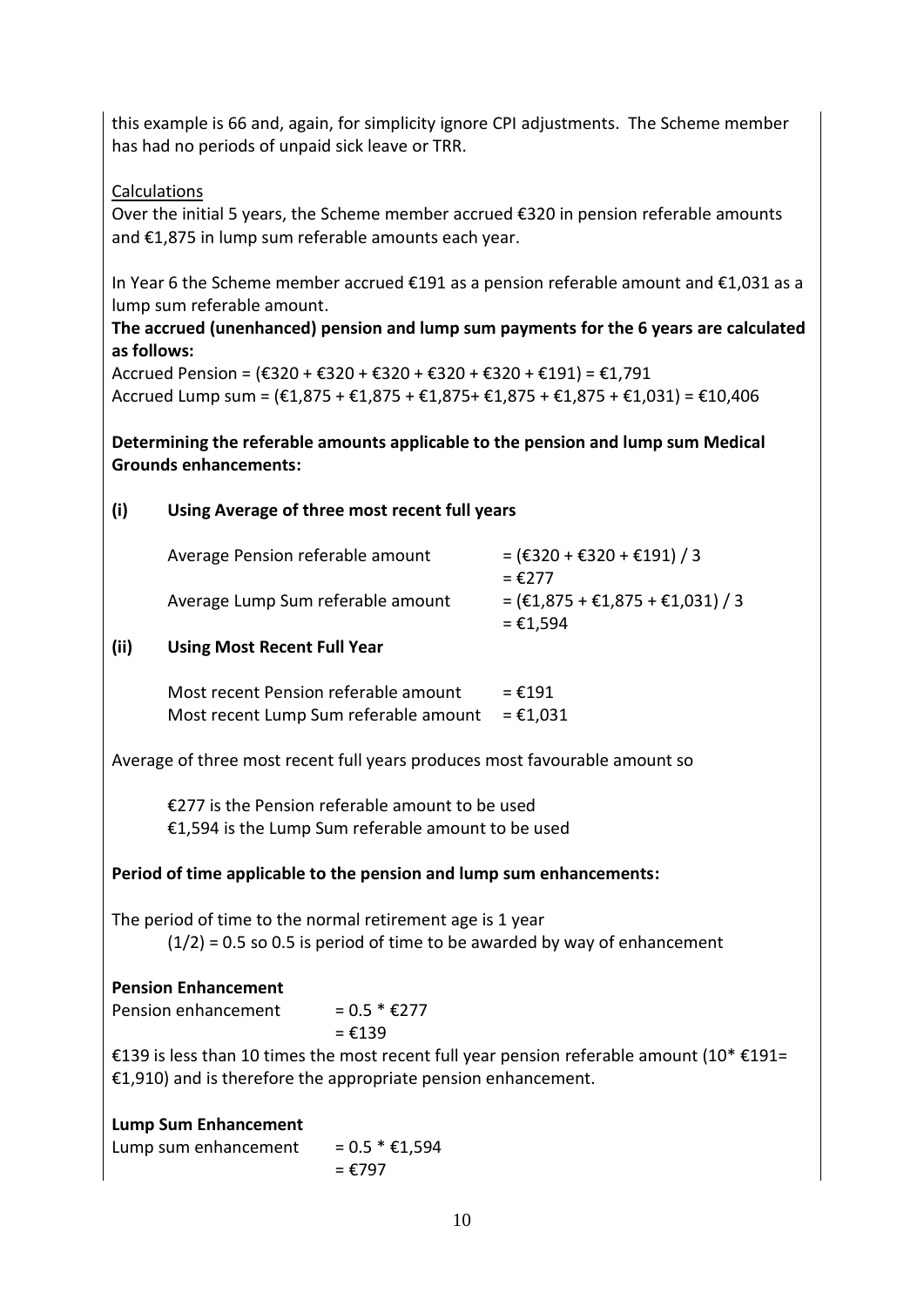this example is 66 and, again, for simplicity ignore CPI adjustments. The Scheme member has had no periods of unpaid sick leave or TRR.

# Calculations

Over the initial 5 years, the Scheme member accrued €320 in pension referable amounts and €1,875 in lump sum referable amounts each year.

In Year 6 the Scheme member accrued €191 as a pension referable amount and €1,031 as a lump sum referable amount.

#### **The accrued (unenhanced) pension and lump sum payments for the 6 years are calculated as follows:**

Accrued Pension =  $(E320 + E320 + E320 + E320 + E320 + E1791)$  = £1,791 Accrued Lump sum =  $(\text{\textsterling}1,875 + \text{\textsterling}1,875 + \text{\textsterling}1,875 + \text{\textsterling}1,875 + \text{\textsterling}1,031) = \text{\textsterling}10,406$ 

**Determining the referable amounts applicable to the pension and lump sum Medical Grounds enhancements:**

## **(i) Using Average of three most recent full years**

| Average Pension referable amount  | $=$ (€320 + €320 + €191) / 3<br>$=$ €277                            |
|-----------------------------------|---------------------------------------------------------------------|
| Average Lump Sum referable amount | = $(\text{£}1,875 + \text{£}1,875 + \text{£}1,031)$ / 3<br>= €1,594 |

### **(ii) Using Most Recent Full Year**

| Most recent Pension referable amount  | $=$ €191 |
|---------------------------------------|----------|
| Most recent Lump Sum referable amount | = €1,031 |

Average of three most recent full years produces most favourable amount so

€277 is the Pension referable amount to be used €1,594 is the Lump Sum referable amount to be used

### **Period of time applicable to the pension and lump sum enhancements:**

The period of time to the normal retirement age is 1 year  $(1/2)$  = 0.5 so 0.5 is period of time to be awarded by way of enhancement

# **Pension Enhancement**

Pension enhancement =  $0.5 * E277$  $= 6139$ 

€139 is less than 10 times the most recent full year pension referable amount (10\* €191= €1,910) and is therefore the appropriate pension enhancement.

### **Lump Sum Enhancement**

Lump sum enhancement =  $0.5 * £1,594$  $= 6797$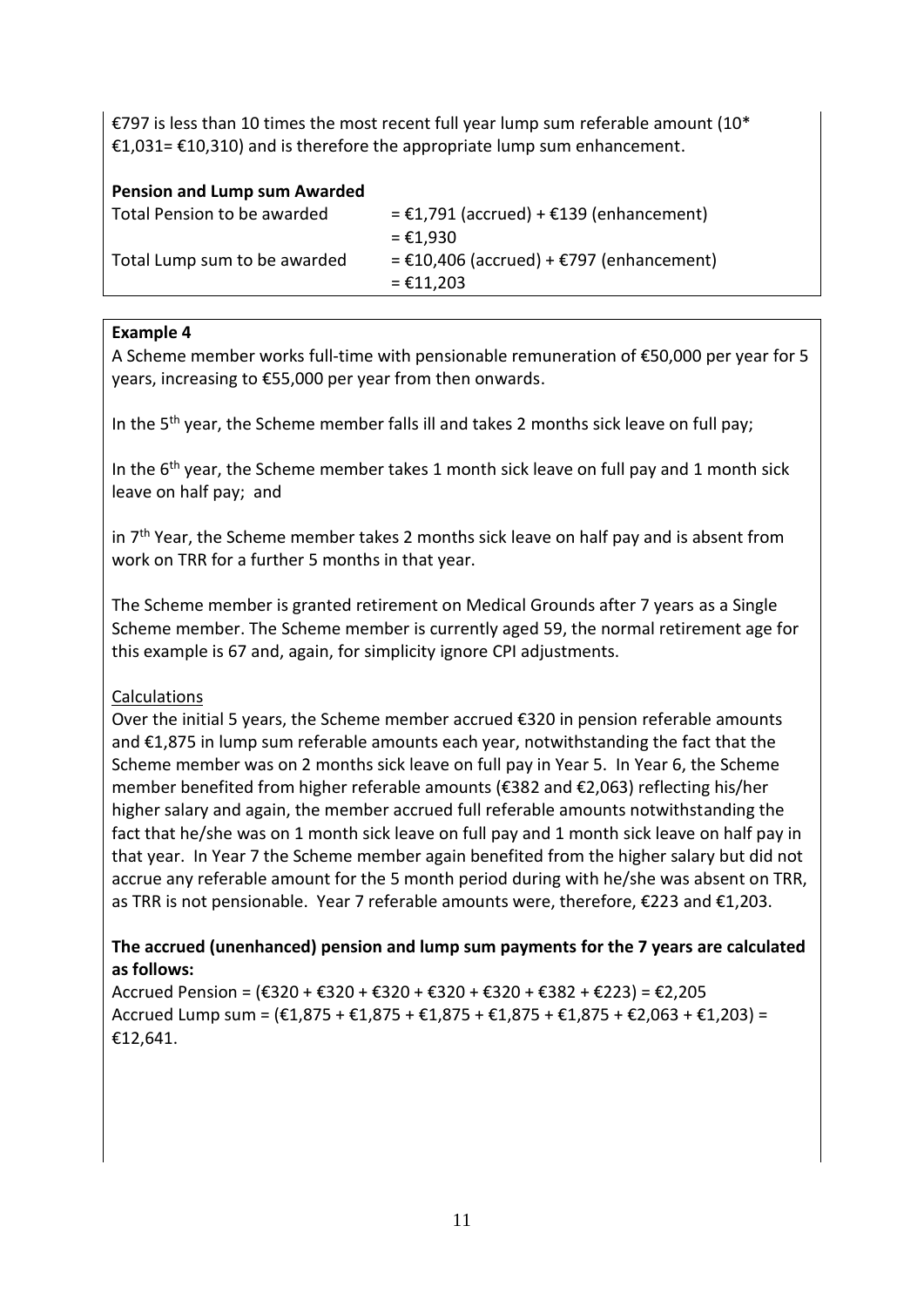€797 is less than 10 times the most recent full year lump sum referable amount (10<sup>\*</sup> €1,031= €10,310) and is therefore the appropriate lump sum enhancement.

#### **Pension and Lump sum Awarded**

| Total Pension to be awarded  | $= \text{\textsterling}1,791$ (accrued) + $\text{\textsterling}139$ (enhancement)<br>= €1,930 |
|------------------------------|-----------------------------------------------------------------------------------------------|
| Total Lump sum to be awarded | = $£10,406$ (accrued) + $£797$ (enhancement)<br>$=$ €11.203                                   |

#### **Example 4**

A Scheme member works full-time with pensionable remuneration of €50,000 per year for 5 years, increasing to €55,000 per year from then onwards.

In the  $5<sup>th</sup>$  year, the Scheme member falls ill and takes 2 months sick leave on full pay;

In the  $6<sup>th</sup>$  year, the Scheme member takes 1 month sick leave on full pay and 1 month sick leave on half pay; and

in 7<sup>th</sup> Year, the Scheme member takes 2 months sick leave on half pay and is absent from work on TRR for a further 5 months in that year.

The Scheme member is granted retirement on Medical Grounds after 7 years as a Single Scheme member. The Scheme member is currently aged 59, the normal retirement age for this example is 67 and, again, for simplicity ignore CPI adjustments.

### Calculations

Over the initial 5 years, the Scheme member accrued €320 in pension referable amounts and €1,875 in lump sum referable amounts each year, notwithstanding the fact that the Scheme member was on 2 months sick leave on full pay in Year 5. In Year 6, the Scheme member benefited from higher referable amounts (€382 and €2,063) reflecting his/her higher salary and again, the member accrued full referable amounts notwithstanding the fact that he/she was on 1 month sick leave on full pay and 1 month sick leave on half pay in that year. In Year 7 the Scheme member again benefited from the higher salary but did not accrue any referable amount for the 5 month period during with he/she was absent on TRR, as TRR is not pensionable. Year 7 referable amounts were, therefore, €223 and €1,203.

## **The accrued (unenhanced) pension and lump sum payments for the 7 years are calculated as follows:**

Accrued Pension = (€320 + €320 + €320 + €320 + €320 + €382 + €223) = €2,205 Accrued Lump sum =  $(\text{\textsterling}1.875 + \text{\textsterling}1.875 + \text{\textsterling}1.875 + \text{\textsterling}1.875 + \text{\textsterling}2.063 + \text{\textsterling}1.203) =$ €12,641.